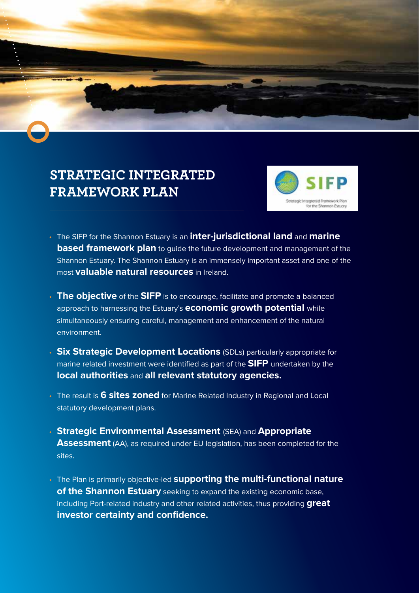

## **STRATEGIC INTEGRATED FRAMEWORK PLAN**



- The SIFP for the Shannon Estuary is an **inter-jurisdictional land** and **marine based framework plan** to guide the future development and management of the Shannon Estuary. The Shannon Estuary is an immensely important asset and one of the most **valuable natural resources** in Ireland.
- **The objective** of the **SIFP** is to encourage, facilitate and promote a balanced approach to harnessing the Estuary's **economic growth potential** while simultaneously ensuring careful, management and enhancement of the natural environment.
- **Six Strategic Development Locations** (SDLs) particularly appropriate for marine related investment were identified as part of the **SIFP** undertaken by the **local authorities** and **all relevant statutory agencies.**
- The result is **6 sites zoned** for Marine Related Industry in Regional and Local statutory development plans.
- **Strategic Environmental Assessment** (SEA) and **Appropriate Assessment** (AA), as required under EU legislation, has been completed for the sites.
- The Plan is primarily objective-led **supporting the multi-functional nature of the Shannon Estuary** seeking to expand the existing economic base, including Port-related industry and other related activities, thus providing **great investor certainty and confidence.**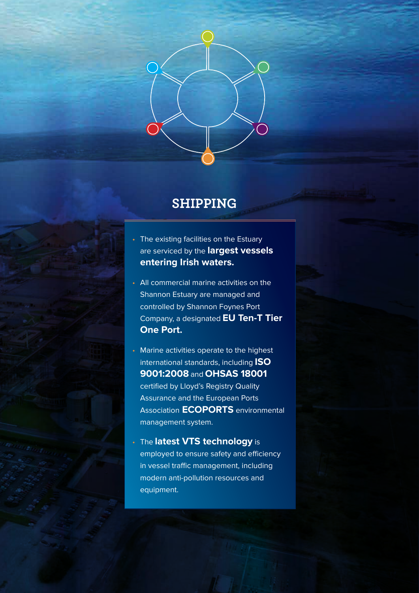

## **SHIPPING**

- The existing facilities on the Estuary are serviced by the **largest vessels entering Irish waters.**
- All commercial marine activities on the Shannon Estuary are managed and controlled by Shannon Foynes Port Company, a designated **EU Ten-T Tier One Port.**
- Marine activities operate to the highest international standards, including **ISO 9001:2008** and **OHSAS 18001** certified by Lloyd's Registry Quality Assurance and the European Ports Association **ECOPORTS** environmental management system.
- The **latest VTS technology** is employed to ensure safety and efficiency in vessel traffic management, including modern anti-pollution resources and equipment.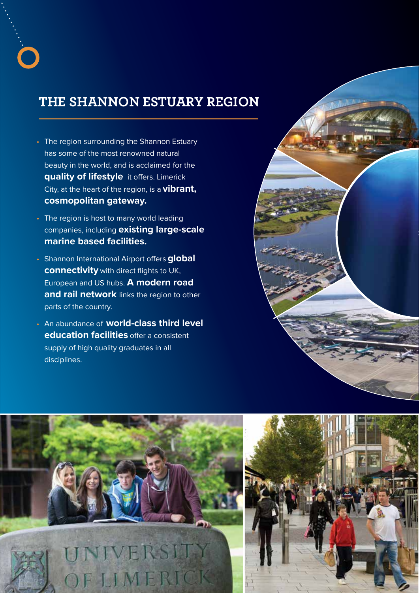## **THE SHANNON ESTUARY REGION**

- The region surrounding the Shannon Estuary has some of the most renowned natural beauty in the world, and is acclaimed for the **quality of lifestyle** it offers. Limerick City, at the heart of the region, is a **vibrant, cosmopolitan gateway.**
- The region is host to many world leading companies, including **existing large-scale marine based facilities.**
- Shannon International Airport offers **global connectivity** with direct flights to UK, European and US hubs. **A modern road and rail network** links the region to other parts of the country.
- An abundance of **world-class third level education facilities** offer a consistent supply of high quality graduates in all disciplines.